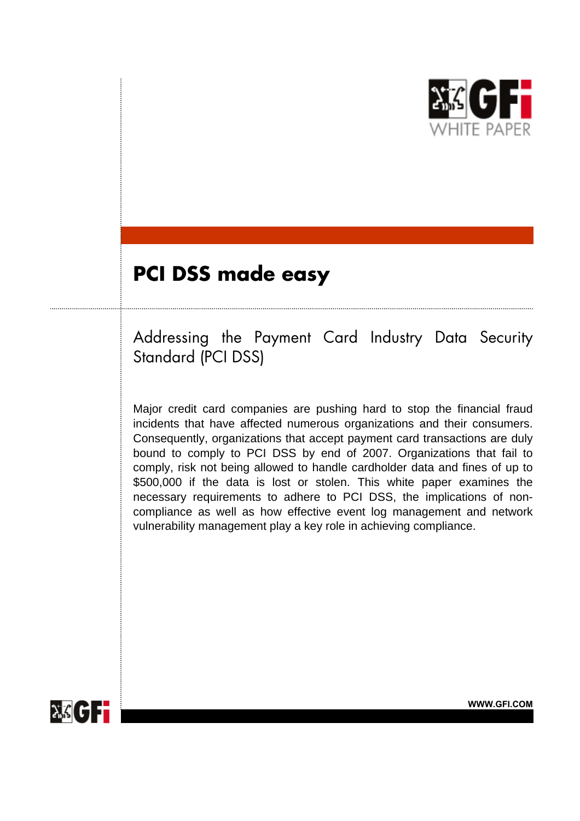

# **PCI DSS made easy**

Addressing the Payment Card Industry Data Security Standard (PCI DSS)

Major credit card companies are pushing hard to stop the financial fraud incidents that have affected numerous organizations and their consumers. Consequently, organizations that accept payment card transactions are duly bound to comply to PCI DSS by end of 2007. Organizations that fail to comply, risk not being allowed to handle cardholder data and fines of up to \$500,000 if the data is lost or stolen. This white paper examines the necessary requirements to adhere to PCI DSS, the implications of noncompliance as well as how effective event log management and network vulnerability management play a key role in achieving compliance.

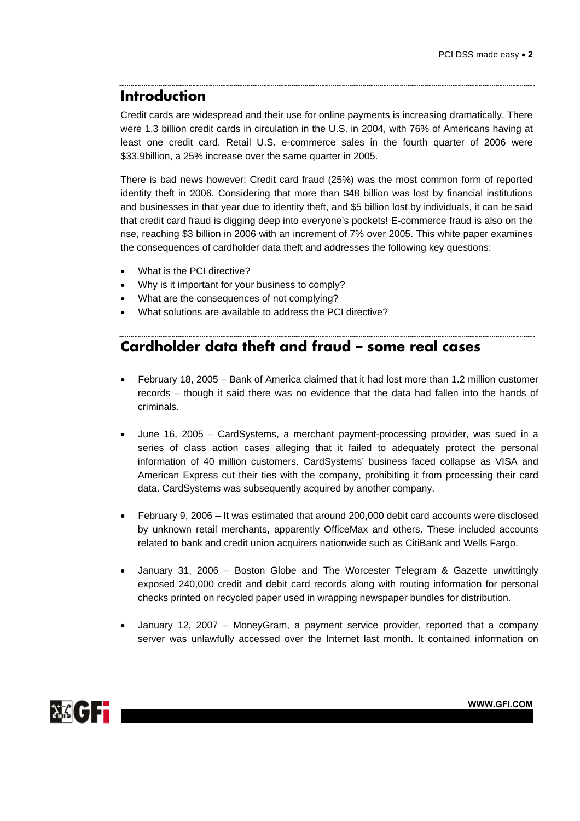## **Introduction**

Credit cards are widespread and their use for online payments is increasing dramatically. There were 1.3 billion credit cards in circulation in the U.S. in 2004, with 76% of Americans having at least one credit card. Retail U.S. e-commerce sales in the fourth quarter of 2006 were \$33.9billion, a 25% increase over the same quarter in 2005.

There is bad news however: Credit card fraud (25%) was the most common form of reported identity theft in 2006. Considering that more than \$48 billion was lost by financial institutions and businesses in that year due to identity theft, and \$5 billion lost by individuals, it can be said that credit card fraud is digging deep into everyone's pockets! E-commerce fraud is also on the rise, reaching \$3 billion in 2006 with an increment of 7% over 2005. This white paper examines the consequences of cardholder data theft and addresses the following key questions:

- What is the PCI directive?
- Why is it important for your business to comply?
- What are the consequences of not complying?
- What solutions are available to address the PCI directive?

# **Cardholder data theft and fraud – some real cases**

• February 18, 2005 – Bank of America claimed that it had lost more than 1.2 million customer records – though it said there was no evidence that the data had fallen into the hands of criminals.

- June 16, 2005 CardSystems, a merchant payment-processing provider, was sued in a series of class action cases alleging that it failed to adequately protect the personal information of 40 million customers. CardSystems' business faced collapse as VISA and American Express cut their ties with the company, prohibiting it from processing their card data. CardSystems was subsequently acquired by another company.
- February 9, 2006 It was estimated that around 200,000 debit card accounts were disclosed by unknown retail merchants, apparently OfficeMax and others. These included accounts related to bank and credit union acquirers nationwide such as CitiBank and Wells Fargo.
- January 31, 2006 Boston Globe and The Worcester Telegram & Gazette unwittingly exposed 240,000 credit and debit card records along with routing information for personal checks printed on recycled paper used in wrapping newspaper bundles for distribution.
- January 12, 2007 MoneyGram, a payment service provider, reported that a company server was unlawfully accessed over the Internet last month. It contained information on

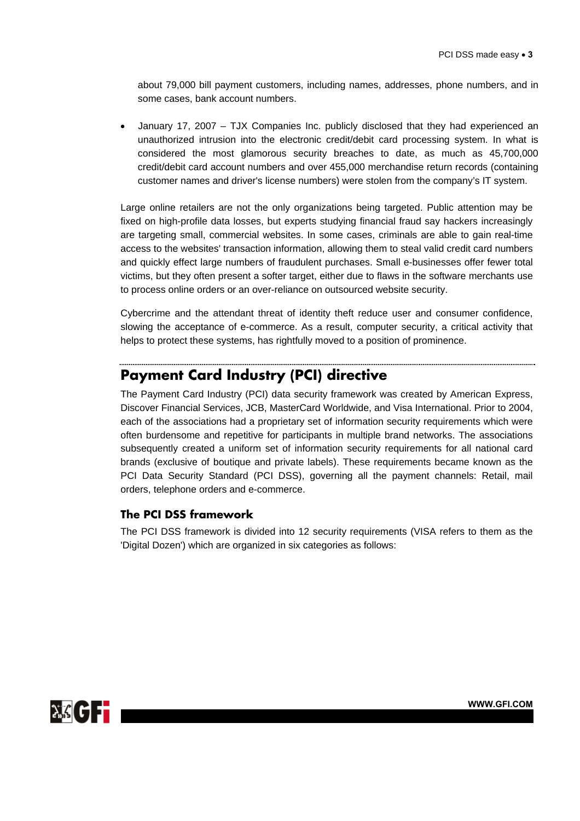about 79,000 bill payment customers, including names, addresses, phone numbers, and in some cases, bank account numbers.

• January 17, 2007 – TJX Companies Inc. publicly disclosed that they had experienced an unauthorized intrusion into the electronic credit/debit card processing system. In what is considered the most glamorous security breaches to date, as much as 45,700,000 credit/debit card account numbers and over 455,000 merchandise return records (containing customer names and driver's license numbers) were stolen from the company's IT system.

Large online retailers are not the only organizations being targeted. Public attention may be fixed on high-profile data losses, but experts studying financial fraud say hackers increasingly are targeting small, commercial websites. In some cases, criminals are able to gain real-time access to the websites' transaction information, allowing them to steal valid credit card numbers and quickly effect large numbers of fraudulent purchases. Small e-businesses offer fewer total victims, but they often present a softer target, either due to flaws in the software merchants use to process online orders or an over-reliance on outsourced website security.

Cybercrime and the attendant threat of identity theft reduce user and consumer confidence, slowing the acceptance of e-commerce. As a result, computer security, a critical activity that helps to protect these systems, has rightfully moved to a position of prominence.

### **Payment Card Industry (PCI) directive**

The Payment Card Industry (PCI) data security framework was created by American Express, Discover Financial Services, JCB, MasterCard Worldwide, and Visa International. Prior to 2004, each of the associations had a proprietary set of information security requirements which were often burdensome and repetitive for participants in multiple brand networks. The associations subsequently created a uniform set of information security requirements for all national card brands (exclusive of boutique and private labels). These requirements became known as the PCI Data Security Standard (PCI DSS), governing all the payment channels: Retail, mail orders, telephone orders and e-commerce.

### **The PCI DSS framework**

The PCI DSS framework is divided into 12 security requirements (VISA refers to them as the 'Digital Dozen') which are organized in six categories as follows:

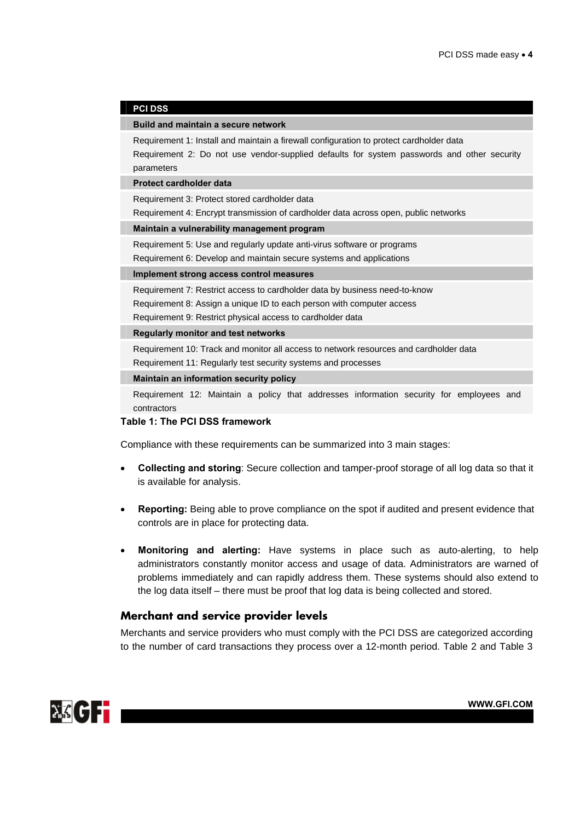#### **PCI DSS**

#### **Build and maintain a secure network**

Requirement 1: Install and maintain a firewall configuration to protect cardholder data Requirement 2: Do not use vendor-supplied defaults for system passwords and other security parameters

#### **Protect cardholder data**

Requirement 3: Protect stored cardholder data

Requirement 4: Encrypt transmission of cardholder data across open, public networks

**Maintain a vulnerability management program**

Requirement 5: Use and regularly update anti-virus software or programs

Requirement 6: Develop and maintain secure systems and applications

#### **Implement strong access control measures**

Requirement 7: Restrict access to cardholder data by business need-to-know Requirement 8: Assign a unique ID to each person with computer access Requirement 9: Restrict physical access to cardholder data

#### **Regularly monitor and test networks**

Requirement 10: Track and monitor all access to network resources and cardholder data Requirement 11: Regularly test security systems and processes

#### **Maintain an information security policy**

Requirement 12: Maintain a policy that addresses information security for employees and contractors

### **Table 1: The PCI DSS framework**

Compliance with these requirements can be summarized into 3 main stages:

- **Collecting and storing**: Secure collection and tamper-proof storage of all log data so that it is available for analysis.
- **Reporting:** Being able to prove compliance on the spot if audited and present evidence that controls are in place for protecting data.
- **Monitoring and alerting:** Have systems in place such as auto-alerting, to help administrators constantly monitor access and usage of data. Administrators are warned of problems immediately and can rapidly address them. These systems should also extend to the log data itself – there must be proof that log data is being collected and stored.

### **Merchant and service provider levels**

Merchants and service providers who must comply with the PCI DSS are categorized according to the number of card transactions they process over a 12-month period. Table 2 and Table 3

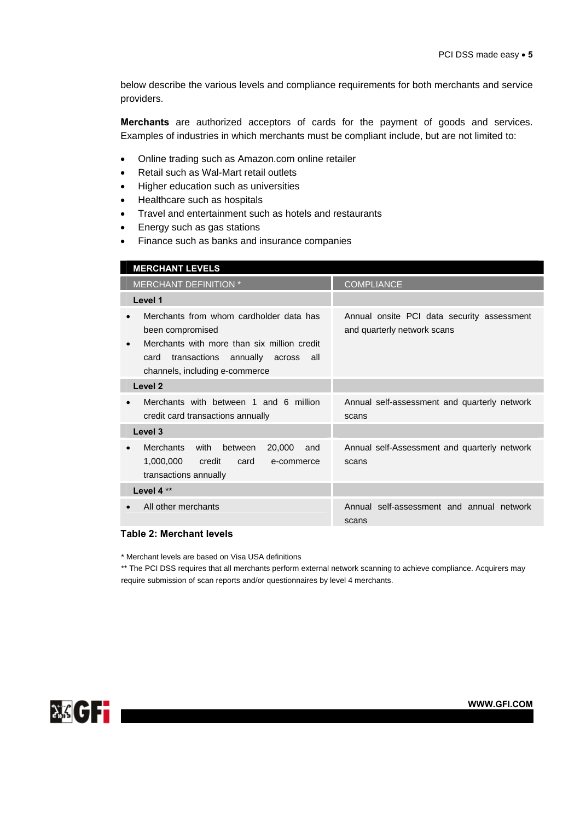below describe the various levels and compliance requirements for both merchants and service providers.

**Merchants** are authorized acceptors of cards for the payment of goods and services. Examples of industries in which merchants must be compliant include, but are not limited to:

- Online trading such as Amazon.com online retailer
- Retail such as Wal-Mart retail outlets
- Higher education such as universities
- Healthcare such as hospitals
- Travel and entertainment such as hotels and restaurants
- Energy such as gas stations
- Finance such as banks and insurance companies

| <b>MERCHANT LEVELS</b>                                                                                                                                                                   |                                                                           |
|------------------------------------------------------------------------------------------------------------------------------------------------------------------------------------------|---------------------------------------------------------------------------|
| MERCHANT DEFINITION *                                                                                                                                                                    | <b>COMPLIANCE</b>                                                         |
| Level 1                                                                                                                                                                                  |                                                                           |
| Merchants from whom cardholder data has<br>been compromised<br>Merchants with more than six million credit<br>transactions annually across all<br>card<br>channels, including e-commerce | Annual onsite PCI data security assessment<br>and quarterly network scans |
| Level <sub>2</sub>                                                                                                                                                                       |                                                                           |
| Merchants with between 1 and 6 million<br>credit card transactions annually                                                                                                              | Annual self-assessment and quarterly network<br>scans                     |
| Level 3                                                                                                                                                                                  |                                                                           |
| <b>Merchants</b><br>with<br>20,000<br>between<br>and<br>$\bullet$<br>1,000,000<br>credit<br>card<br>e-commerce<br>transactions annually                                                  | Annual self-Assessment and quarterly network<br>scans                     |
| Level 4**                                                                                                                                                                                |                                                                           |
| All other merchants                                                                                                                                                                      | Annual self-assessment and annual network<br>scans                        |
| Table 2: Merchant levels                                                                                                                                                                 |                                                                           |

\* Merchant levels are based on Visa USA definitions

\*\* The PCI DSS requires that all merchants perform external network scanning to achieve compliance. Acquirers may require submission of scan reports and/or questionnaires by level 4 merchants.

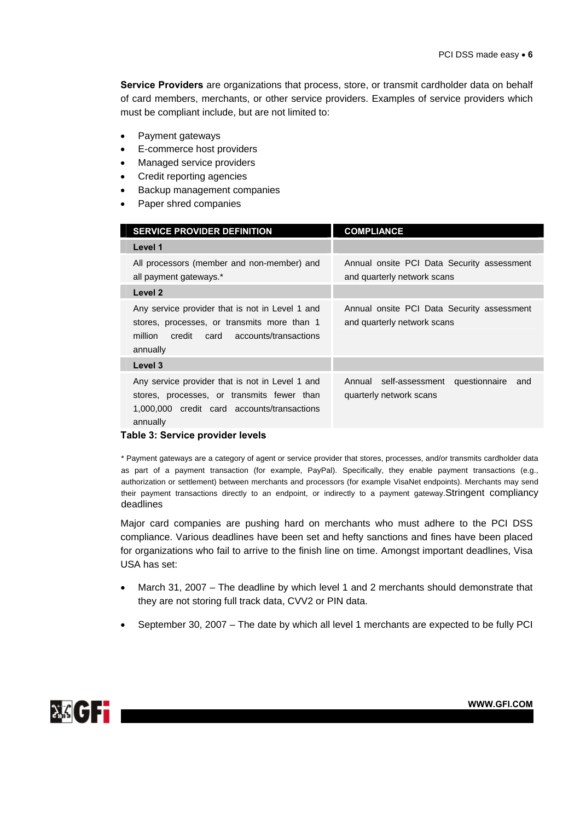**Service Providers** are organizations that process, store, or transmit cardholder data on behalf of card members, merchants, or other service providers. Examples of service providers which must be compliant include, but are not limited to:

- Payment gateways
- E-commerce host providers
- Managed service providers
- Credit reporting agencies
- Backup management companies
- Paper shred companies

| <b>SERVICE PROVIDER DEFINITION</b>                                                                                                                            | <b>COMPLIANCE</b>                                                         |  |
|---------------------------------------------------------------------------------------------------------------------------------------------------------------|---------------------------------------------------------------------------|--|
| Level 1                                                                                                                                                       |                                                                           |  |
| All processors (member and non-member) and<br>all payment gateways.*                                                                                          | Annual onsite PCI Data Security assessment<br>and quarterly network scans |  |
| Level 2                                                                                                                                                       |                                                                           |  |
| Any service provider that is not in Level 1 and<br>stores, processes, or transmits more than 1<br>million<br>credit<br>card accounts/transactions<br>annually | Annual onsite PCI Data Security assessment<br>and quarterly network scans |  |
| Level 3                                                                                                                                                       |                                                                           |  |
| Any service provider that is not in Level 1 and<br>stores, processes, or transmits fewer than<br>1,000,000 credit card accounts/transactions<br>annually      | Annual self-assessment questionnaire<br>and<br>quarterly network scans    |  |
| Table 3: Service provider levels                                                                                                                              |                                                                           |  |

\* Payment gateways are a category of agent or service provider that stores, processes, and/or transmits cardholder data as part of a payment transaction (for example, PayPal). Specifically, they enable payment transactions (e.g., authorization or settlement) between merchants and processors (for example VisaNet endpoints). Merchants may send their payment transactions directly to an endpoint, or indirectly to a payment gateway.Stringent compliancy deadlines

Major card companies are pushing hard on merchants who must adhere to the PCI DSS compliance. Various deadlines have been set and hefty sanctions and fines have been placed for organizations who fail to arrive to the finish line on time. Amongst important deadlines, Visa USA has set:

- March 31, 2007 The deadline by which level 1 and 2 merchants should demonstrate that they are not storing full track data, CVV2 or PIN data.
- September 30, 2007 The date by which all level 1 merchants are expected to be fully PCI

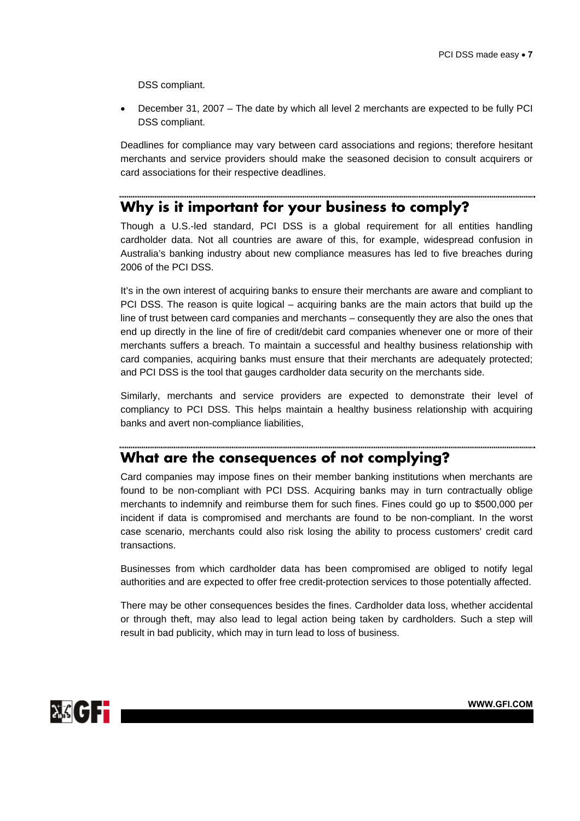DSS compliant.

• December 31, 2007 – The date by which all level 2 merchants are expected to be fully PCI DSS compliant.

Deadlines for compliance may vary between card associations and regions; therefore hesitant merchants and service providers should make the seasoned decision to consult acquirers or card associations for their respective deadlines.

# **Why is it important for your business to comply?**

Though a U.S.-led standard, PCI DSS is a global requirement for all entities handling cardholder data. Not all countries are aware of this, for example, widespread confusion in Australia's banking industry about new compliance measures has led to five breaches during 2006 of the PCI DSS.

It's in the own interest of acquiring banks to ensure their merchants are aware and compliant to PCI DSS. The reason is quite logical – acquiring banks are the main actors that build up the line of trust between card companies and merchants – consequently they are also the ones that end up directly in the line of fire of credit/debit card companies whenever one or more of their merchants suffers a breach. To maintain a successful and healthy business relationship with card companies, acquiring banks must ensure that their merchants are adequately protected; and PCI DSS is the tool that gauges cardholder data security on the merchants side.

Similarly, merchants and service providers are expected to demonstrate their level of compliancy to PCI DSS. This helps maintain a healthy business relationship with acquiring banks and avert non-compliance liabilities,

### **What are the consequences of not complying?**

Card companies may impose fines on their member banking institutions when merchants are found to be non-compliant with PCI DSS. Acquiring banks may in turn contractually oblige merchants to indemnify and reimburse them for such fines. Fines could go up to \$500,000 per incident if data is compromised and merchants are found to be non-compliant. In the worst case scenario, merchants could also risk losing the ability to process customers' credit card transactions.

Businesses from which cardholder data has been compromised are obliged to notify legal authorities and are expected to offer free credit-protection services to those potentially affected.

There may be other consequences besides the fines. Cardholder data loss, whether accidental or through theft, may also lead to legal action being taken by cardholders. Such a step will result in bad publicity, which may in turn lead to loss of business.

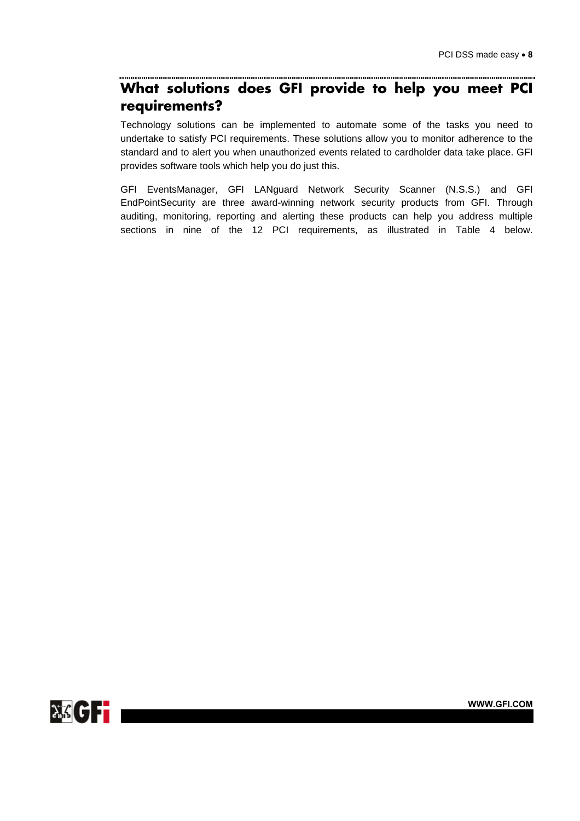### **What solutions does GFI provide to help you meet PCI requirements?**

Technology solutions can be implemented to automate some of the tasks you need to undertake to satisfy PCI requirements. These solutions allow you to monitor adherence to the standard and to alert you when unauthorized events related to cardholder data take place. GFI provides software tools which help you do just this.

GFI EventsManager, GFI LANguard Network Security Scanner (N.S.S.) and GFI EndPointSecurity are three award-winning network security products from GFI. Through auditing, monitoring, reporting and alerting these products can help you address multiple sections in nine of the 12 PCI requirements, as illustrated in Table 4 below.

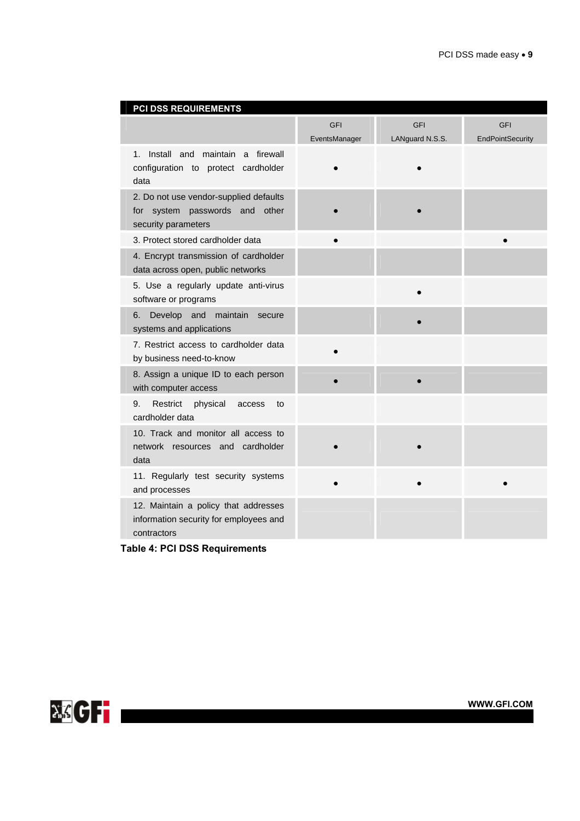| PCI DSS REQUIREMENTS                                                                            |               |                 |                         |
|-------------------------------------------------------------------------------------------------|---------------|-----------------|-------------------------|
|                                                                                                 | <b>GFI</b>    | <b>GFI</b>      | <b>GFI</b>              |
|                                                                                                 | EventsManager | LANguard N.S.S. | <b>EndPointSecurity</b> |
| Install and maintain<br>$1_{-}$<br>a firewall<br>configuration to protect cardholder<br>data    |               |                 |                         |
| 2. Do not use vendor-supplied defaults<br>for system passwords and other<br>security parameters |               |                 |                         |
| 3. Protect stored cardholder data                                                               |               |                 |                         |
| 4. Encrypt transmission of cardholder<br>data across open, public networks                      |               |                 |                         |
| 5. Use a regularly update anti-virus<br>software or programs                                    |               |                 |                         |
| maintain<br>Develop and<br>6.<br>secure<br>systems and applications                             |               |                 |                         |
| 7. Restrict access to cardholder data<br>by business need-to-know                               |               |                 |                         |
| 8. Assign a unique ID to each person<br>with computer access                                    |               |                 |                         |
| Restrict<br>physical<br>9.<br>access<br>to<br>cardholder data                                   |               |                 |                         |
| 10. Track and monitor all access to<br>network resources and cardholder<br>data                 |               |                 |                         |
| 11. Regularly test security systems<br>and processes                                            |               |                 |                         |
| 12. Maintain a policy that addresses<br>information security for employees and<br>contractors   |               |                 |                         |

**Table 4: PCI DSS Requirements** 

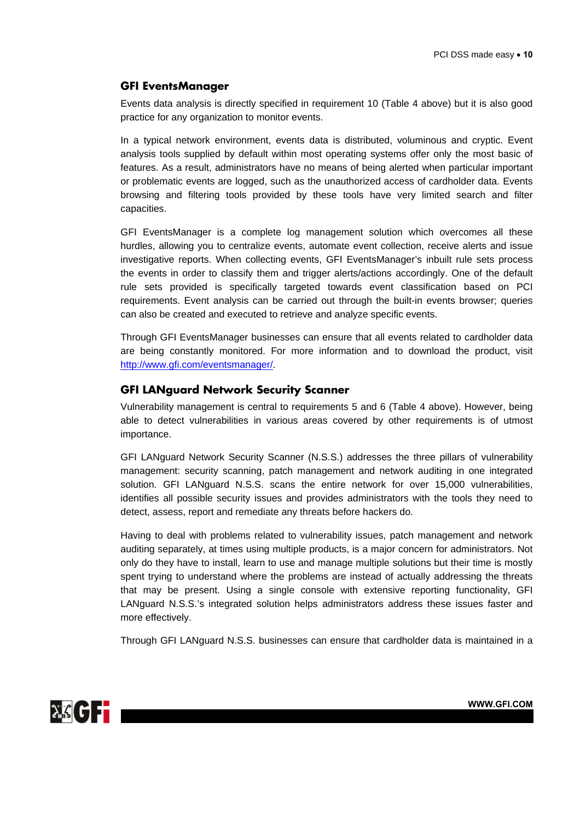### **GFI EventsManager**

Events data analysis is directly specified in requirement 10 (Table 4 above) but it is also good practice for any organization to monitor events.

In a typical network environment, events data is distributed, voluminous and cryptic. Event analysis tools supplied by default within most operating systems offer only the most basic of features. As a result, administrators have no means of being alerted when particular important or problematic events are logged, such as the unauthorized access of cardholder data. Events browsing and filtering tools provided by these tools have very limited search and filter capacities.

GFI EventsManager is a complete log management solution which overcomes all these hurdles, allowing you to centralize events, automate event collection, receive alerts and issue investigative reports. When collecting events, GFI EventsManager's inbuilt rule sets process the events in order to classify them and trigger alerts/actions accordingly. One of the default rule sets provided is specifically targeted towards event classification based on PCI requirements. Event analysis can be carried out through the built-in events browser; queries can also be created and executed to retrieve and analyze specific events.

Through GFI EventsManager businesses can ensure that all events related to cardholder data are being constantly monitored. For more information and to download the product, visit [http://www.gfi.com/eventsmanager/.](http://www.gfi.com/eventsmanager/)

### **GFI LANguard Network Security Scanner**

Vulnerability management is central to requirements 5 and 6 (Table 4 above). However, being able to detect vulnerabilities in various areas covered by other requirements is of utmost importance.

GFI LANguard Network Security Scanner (N.S.S.) addresses the three pillars of vulnerability management: security scanning, patch management and network auditing in one integrated solution. GFI LANguard N.S.S. scans the entire network for over 15,000 vulnerabilities, identifies all possible security issues and provides administrators with the tools they need to detect, assess, report and remediate any threats before hackers do.

Having to deal with problems related to vulnerability issues, patch management and network auditing separately, at times using multiple products, is a major concern for administrators. Not only do they have to install, learn to use and manage multiple solutions but their time is mostly spent trying to understand where the problems are instead of actually addressing the threats that may be present. Using a single console with extensive reporting functionality, GFI LANguard N.S.S.'s integrated solution helps administrators address these issues faster and more effectively.

Through GFI LANguard N.S.S. businesses can ensure that cardholder data is maintained in a

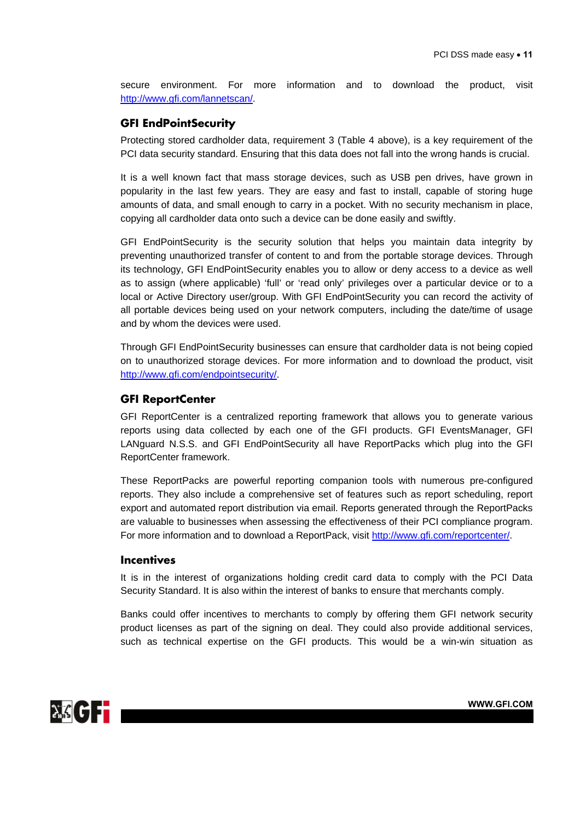secure environment. For more information and to download the product, visit <http://www.gfi.com/lannetscan/>.

### **GFI EndPointSecurity**

Protecting stored cardholder data, requirement 3 (Table 4 above), is a key requirement of the PCI data security standard. Ensuring that this data does not fall into the wrong hands is crucial.

It is a well known fact that mass storage devices, such as USB pen drives, have grown in popularity in the last few years. They are easy and fast to install, capable of storing huge amounts of data, and small enough to carry in a pocket. With no security mechanism in place, copying all cardholder data onto such a device can be done easily and swiftly.

GFI EndPointSecurity is the security solution that helps you maintain data integrity by preventing unauthorized transfer of content to and from the portable storage devices. Through its technology, GFI EndPointSecurity enables you to allow or deny access to a device as well as to assign (where applicable) 'full' or 'read only' privileges over a particular device or to a local or Active Directory user/group. With GFI EndPointSecurity you can record the activity of all portable devices being used on your network computers, including the date/time of usage and by whom the devices were used.

Through GFI EndPointSecurity businesses can ensure that cardholder data is not being copied on to unauthorized storage devices. For more information and to download the product, visit [http://www.gfi.com/endpointsecurity/.](http://www.gfi.com/endpointsecurity/)

### **GFI ReportCenter**

GFI ReportCenter is a centralized reporting framework that allows you to generate various reports using data collected by each one of the GFI products. GFI EventsManager, GFI LANguard N.S.S. and GFI EndPointSecurity all have ReportPacks which plug into the GFI ReportCenter framework.

These ReportPacks are powerful reporting companion tools with numerous pre-configured reports. They also include a comprehensive set of features such as report scheduling, report export and automated report distribution via email. Reports generated through the ReportPacks are valuable to businesses when assessing the effectiveness of their PCI compliance program. For more information and to download a ReportPack, visit [http://www.gfi.com/reportcenter/.](http://www.gfi.com/reportcenter/)

### **Incentives**

It is in the interest of organizations holding credit card data to comply with the PCI Data Security Standard. It is also within the interest of banks to ensure that merchants comply.

Banks could offer incentives to merchants to comply by offering them GFI network security product licenses as part of the signing on deal. They could also provide additional services, such as technical expertise on the GFI products. This would be a win-win situation as

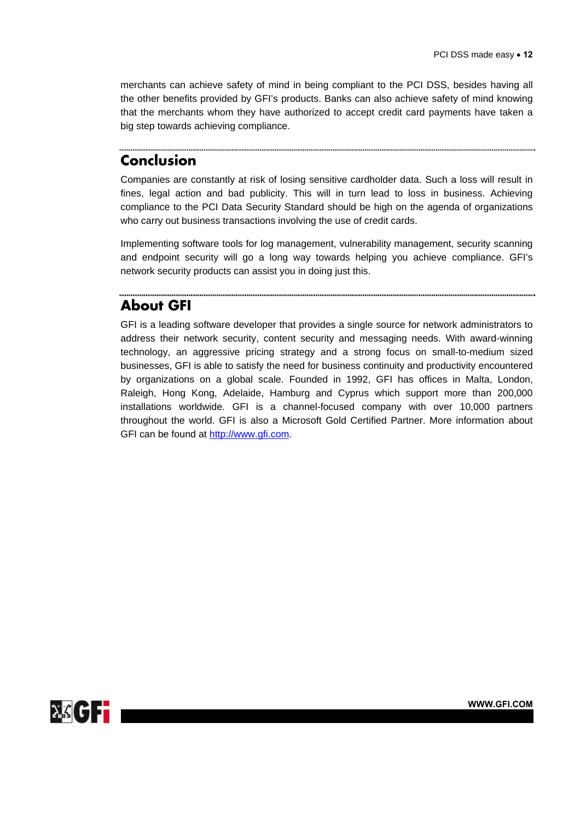merchants can achieve safety of mind in being compliant to the PCI DSS, besides having all the other benefits provided by GFI's products. Banks can also achieve safety of mind knowing that the merchants whom they have authorized to accept credit card payments have taken a big step towards achieving compliance.

# **Conclusion**

Companies are constantly at risk of losing sensitive cardholder data. Such a loss will result in fines, legal action and bad publicity. This will in turn lead to loss in business. Achieving compliance to the PCI Data Security Standard should be high on the agenda of organizations who carry out business transactions involving the use of credit cards.

Implementing software tools for log management, vulnerability management, security scanning and endpoint security will go a long way towards helping you achieve compliance. GFI's network security products can assist you in doing just this.

# **About GFI**

GFI is a leading software developer that provides a single source for network administrators to address their network security, content security and messaging needs. With award-winning technology, an aggressive pricing strategy and a strong focus on small-to-medium sized businesses, GFI is able to satisfy the need for business continuity and productivity encountered by organizations on a global scale. Founded in 1992, GFI has offices in Malta, London, Raleigh, Hong Kong, Adelaide, Hamburg and Cyprus which support more than 200,000 installations worldwide. GFI is a channel-focused company with over 10,000 partners throughout the world. GFI is also a Microsoft Gold Certified Partner. More information about GFI can be found at [http://www.gfi.com.](http://www.gfi.com/)

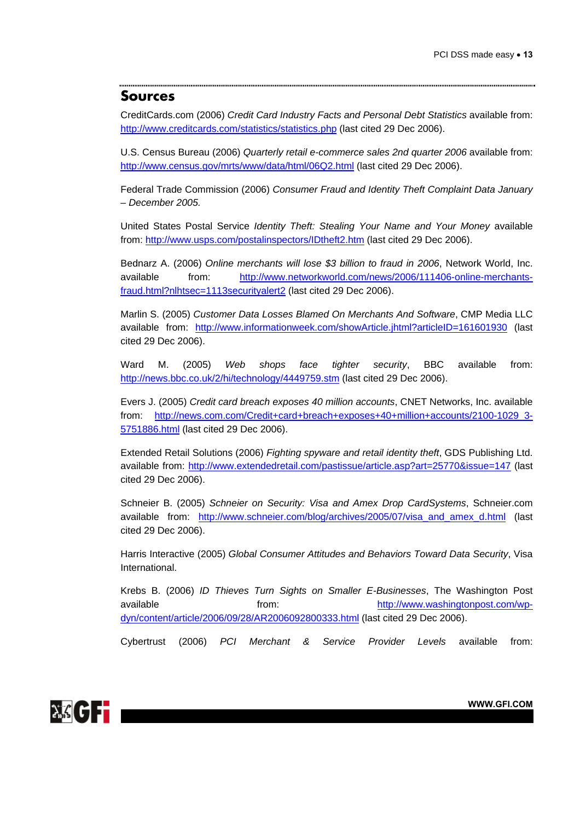### **Sources**

CreditCards.com (2006) *Credit Card Industry Facts and Personal Debt Statistics* available from: <http://www.creditcards.com/statistics/statistics.php>(last cited 29 Dec 2006).

U.S. Census Bureau (2006) *Quarterly retail e-commerce sales 2nd quarter 2006* available from: <http://www.census.gov/mrts/www/data/html/06Q2.html> (last cited 29 Dec 2006).

Federal Trade Commission (2006) *Consumer Fraud and Identity Theft Complaint Data January – December 2005.*

United States Postal Service *Identity Theft: Stealing Your Name and Your Money* available from:<http://www.usps.com/postalinspectors/IDtheft2.htm>(last cited 29 Dec 2006).

Bednarz A. (2006) *Online merchants will lose \$3 billion to fraud in 2006*, Network World, Inc. available from: [http://www.networkworld.com/news/2006/111406-online-merchants](http://www.networkworld.com/news/2006/111406-online-merchants-fraud.html?nlhtsec=1113securityalert2)[fraud.html?nlhtsec=1113securityalert2](http://www.networkworld.com/news/2006/111406-online-merchants-fraud.html?nlhtsec=1113securityalert2) (last cited 29 Dec 2006).

Marlin S. (2005) *Customer Data Losses Blamed On Merchants And Software*, CMP Media LLC available from: <http://www.informationweek.com/showArticle.jhtml?articleID=161601930> (last cited 29 Dec 2006).

Ward M. (2005) *Web shops face tighter security*, BBC available from: <http://news.bbc.co.uk/2/hi/technology/4449759.stm> (last cited 29 Dec 2006).

Evers J. (2005) *Credit card breach exposes 40 million accounts*, CNET Networks, Inc. available from: [http://news.com.com/Credit+card+breach+exposes+40+million+accounts/2100-1029\\_3-](http://news.com.com/Credit+card+breach+exposes+40+million+accounts/2100-1029_3-5751886.html) [5751886.html](http://news.com.com/Credit+card+breach+exposes+40+million+accounts/2100-1029_3-5751886.html) (last cited 29 Dec 2006).

Extended Retail Solutions (2006) *Fighting spyware and retail identity theft*, GDS Publishing Ltd. available from: <http://www.extendedretail.com/pastissue/article.asp?art=25770&issue=147> (last cited 29 Dec 2006).

Schneier B. (2005) *Schneier on Security: Visa and Amex Drop CardSystems*, Schneier.com available from: [http://www.schneier.com/blog/archives/2005/07/visa\\_and\\_amex\\_d.html](http://www.schneier.com/blog/archives/2005/07/visa_and_amex_d.html) (last cited 29 Dec 2006).

Harris Interactive (2005) *Global Consumer Attitudes and Behaviors Toward Data Security*, Visa International.

Krebs B. (2006) *ID Thieves Turn Sights on Smaller E-Businesses*, The Washington Post available from: [http://www.washingtonpost.com/wp](http://www.washingtonpost.com/wp-dyn/content/article/2006/09/28/AR2006092800333.html)[dyn/content/article/2006/09/28/AR2006092800333.html](http://www.washingtonpost.com/wp-dyn/content/article/2006/09/28/AR2006092800333.html) (last cited 29 Dec 2006).

Cybertrust (2006) *PCI Merchant & Service Provider Levels* available from: